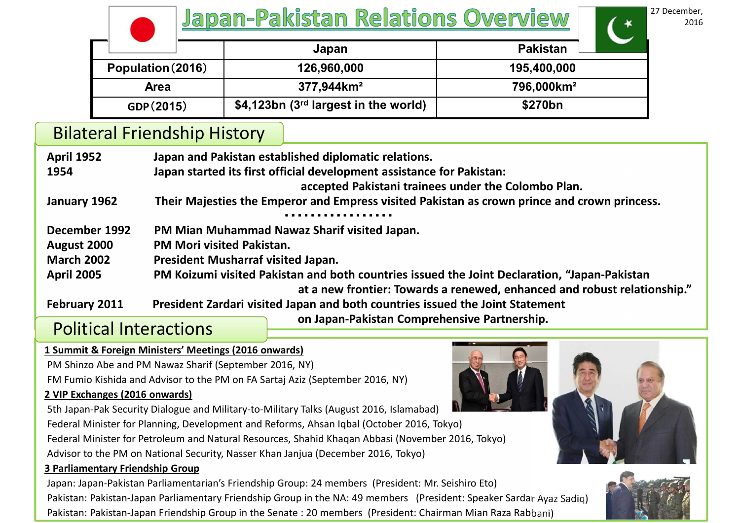|  |                                        | <b>Japan-Pakistan Relations Overview</b> |                                         |                        | 27 December,<br>2016 |
|--|----------------------------------------|------------------------------------------|-----------------------------------------|------------------------|----------------------|
|  |                                        |                                          | Japan                                   | <b>Pakistan</b>        |                      |
|  | Population (2016)<br>Area<br>GDP(2015) |                                          | 126,960,000                             | 195,400,000            |                      |
|  |                                        |                                          | $377,944 \text{km}^2$                   | 796,000km <sup>2</sup> |                      |
|  |                                        |                                          | \$4,123bn ( $3rd$ largest in the world) | \$270bn                |                      |

Bilateral Friendship History

| <b>April 1952</b>                       | Japan and Pakistan established diplomatic relations.                                         |  |  |  |  |  |
|-----------------------------------------|----------------------------------------------------------------------------------------------|--|--|--|--|--|
| 1954                                    | Japan started its first official development assistance for Pakistan:                        |  |  |  |  |  |
|                                         | accepted Pakistani trainees under the Colombo Plan.                                          |  |  |  |  |  |
| January 1962                            | Their Majesties the Emperor and Empress visited Pakistan as crown prince and crown princess. |  |  |  |  |  |
|                                         |                                                                                              |  |  |  |  |  |
| December 1992                           | PM Mian Muhammad Nawaz Sharif visited Japan.                                                 |  |  |  |  |  |
| August 2000                             | <b>PM Mori visited Pakistan.</b>                                                             |  |  |  |  |  |
| <b>March 2002</b>                       | President Musharraf visited Japan.                                                           |  |  |  |  |  |
| <b>April 2005</b>                       | PM Koizumi visited Pakistan and both countries issued the Joint Declaration, "Japan-Pakistan |  |  |  |  |  |
|                                         | at a new frontier: Towards a renewed, enhanced and robust relationship."                     |  |  |  |  |  |
| February 2011                           | President Zardari visited Japan and both countries issued the Joint Statement                |  |  |  |  |  |
| $\mathbf{D}$ in the set of $\mathbf{D}$ | on Japan-Pakistan Comprehensive Partnership.                                                 |  |  |  |  |  |

# Political Interactions

### **1 Summit & Foreign Ministers' Meetings (2016 onwards)**

PM Shinzo Abe and PM Nawaz Sharif (September 2016, NY)

FM Fumio Kishida and Advisor to the PM on FA Sartaj Aziz (September 2016, NY)

### **2 VIP Exchanges (2016 onwards)**

5th Japan-Pak Security Dialogue and Military-to-Military Talks (August 2016, Islamabad)

Federal Minister for Planning, Development and Reforms, Ahsan Iqbal (October 2016, Tokyo) Federal Minister for Petroleum and Natural Resources, Shahid Khaqan Abbasi (November 2016, Tokyo)

Advisor to the PM on National Security, Nasser Khan Janjua (December 2016, Tokyo)

### **3 Parliamentary Friendship Group**

Japan: Japan-Pakistan Parliamentarian's Friendship Group: 24 members (President: Mr. Seishiro Eto) Pakistan: Pakistan-Japan Parliamentary Friendship Group in the NA: 49 members (President: Speaker Sardar Ayaz Sadiq) Pakistan: Pakistan-Japan Friendship Group in the Senate : 20 members (President: Chairman Mian Raza Rabbani)



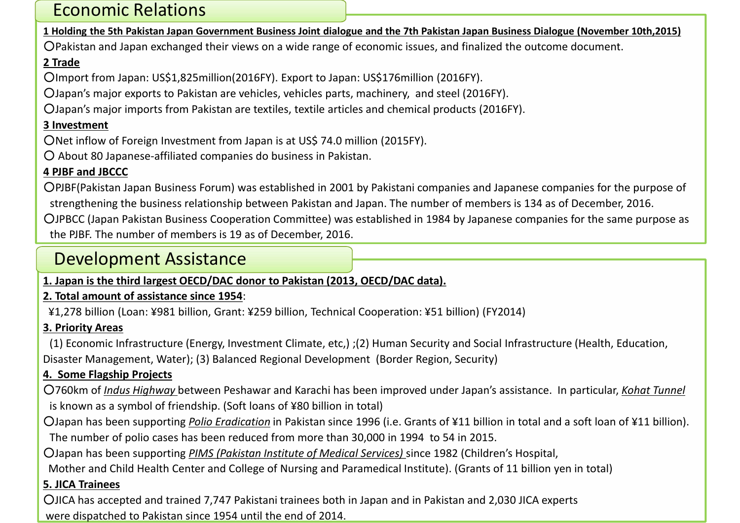# Economic Relations

1 Holding the 5th Pakistan Japan Government Business Joint dialogue and the 7th Pakistan Japan Business Dialogue (November 10th, 2015)

○Pakistan and Japan exchanged their views on a wide range of economic issues, and finalized the outcome document.

## **2 Trade**

○Import from Japan: US\$1,825million(2016FY). Export to Japan: US\$176million (2016FY).

○Japan's major exports to Pakistan are vehicles, vehicles parts, machinery, and steel (2016FY).

○Japan's major imports from Pakistan are textiles, textile articles and chemical products (2016FY).

## **3 Investment**

○Net inflow of Foreign Investment from Japan is at US\$ 74.0 million (2015FY).

○ About 80 Japanese-affiliated companies do business in Pakistan.

## **4 PJBF and JBCCC**

○PJBF(Pakistan Japan Business Forum) was established in 2001 by Pakistani companies and Japanese companies for the purpose of strengthening the business relationship between Pakistan and Japan. The number of members is 134 as of December, 2016.

○JPBCC (Japan Pakistan Business Cooperation Committee) was established in 1984 by Japanese companies for the same purpose as the PJBF. The number of members is 19 as of December, 2016.

## Development Assistance

## **1. Japan is the third largest OECD/DAC donor to Pakistan (2013, OECD/DAC data).**

## **2. Total amount of assistance since 1954**:

¥1,278 billion (Loan: ¥981 billion, Grant: ¥259 billion, Technical Cooperation: ¥51 billion) (FY2014)

## **3. Priority Areas**

(1) Economic Infrastructure (Energy, Investment Climate, etc,) ;(2) Human Security and Social Infrastructure (Health, Education, Disaster Management, Water); (3) Balanced Regional Development (Border Region, Security)

## **4. Some Flagship Projects**

○760km of *Indus Highway* between Peshawar and Karachi has been improved under Japan's assistance. In particular, *Kohat Tunnel* is known as a symbol of friendship. (Soft loans of ¥80 billion in total)

○Japan has been supporting *Polio Eradication* in Pakistan since 1996 (i.e. Grants of ¥11 billion in total and a soft loan of ¥11 billion). The number of polio cases has been reduced from more than 30,000 in 1994 to 54 in 2015.

○Japan has been supporting *PIMS (Pakistan Institute of Medical Services)* since 1982 (Children's Hospital,

Mother and Child Health Center and College of Nursing and Paramedical Institute). (Grants of 11 billion yen in total)

## **5. JICA Trainees**

○JICA has accepted and trained 7,747 Pakistani trainees both in Japan and in Pakistan and 2,030 JICA experts were dispatched to Pakistan since 1954 until the end of 2014.